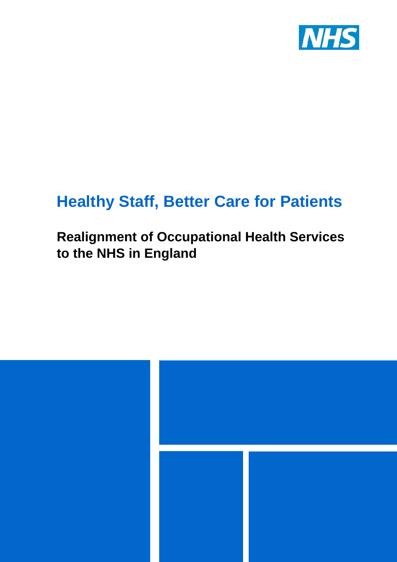

# **Healthy Staff, Better Care for Patients**

### **Realignment of Occupational Health Services to the NHS in England**

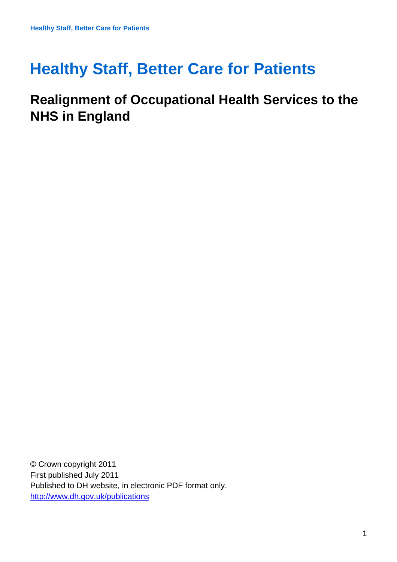## **Healthy Staff, Better Care for Patients**

### **Realignment of Occupational Health Services to the NHS in England**

© Crown copyright 2011 First published July 2011 Published to DH website, in electronic PDF format only. <http://www.dh.gov.uk/publications>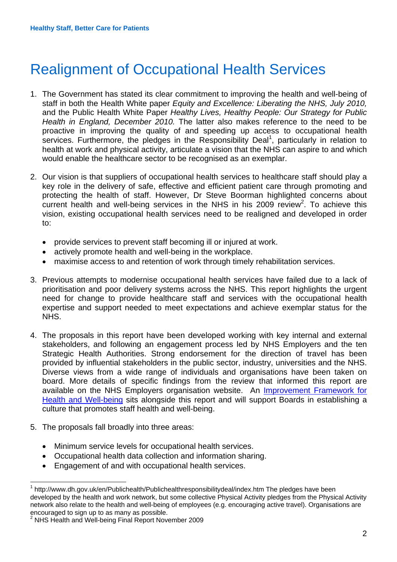## Realignment of Occupational Health Services

- 1. The Government has stated its clear commitment to improving the health and well-being of staff in both the Health White paper *Equity and Excellence: Liberating the NHS, July 2010,* and the Public Health White Paper *Healthy Lives, Healthy People: Our Strategy for Public Health in England, December 2010.* The latter also makes reference to the need to be proactive in improving the quality of and speeding up access to occupational health services. Furthermore, the pledges in the Responsibility Deal<sup>[1](#page-2-0)</sup>, particularly in relation to health at work and physical activity, articulate a vision that the NHS can aspire to and which would enable the healthcare sector to be recognised as an exemplar.
- 2. Our vision is that suppliers of occupational health services to healthcare staff should play a key role in the delivery of safe, effective and efficient patient care through promoting and protecting the health of staff. However, Dr Steve Boorman highlighted concerns about current health and well-being services in the NHS in his [2](#page-2-1)009 review<sup>2</sup>. To achieve this vision, existing occupational health services need to be realigned and developed in order to:
	- provide services to prevent staff becoming ill or injured at work.
	- actively promote health and well-being in the workplace.
	- maximise access to and retention of work through timely rehabilitation services.
- 3. Previous attempts to modernise occupational health services have failed due to a lack of prioritisation and poor delivery systems across the NHS. This report highlights the urgent need for change to provide healthcare staff and services with the occupational health expertise and support needed to meet expectations and achieve exemplar status for the NHS.
- 4. The proposals in this report have been developed working with key internal and external stakeholders, and following an engagement process led by NHS Employers and the ten Strategic Health Authorities. Strong endorsement for the direction of travel has been provided by influential stakeholders in the public sector, industry, universities and the NHS. Diverse views from a wide range of individuals and organisations have been taken on board. More details of specific findings from the review that informed this report are available on the NHS Employers organisation website. An [Improvement Framework for](http://www.dh.gov.uk/en/Publicationsandstatistics/Publications/PublicationsPolicyAndGuidance/DH_128691) [Health and Well-being](http://www.dh.gov.uk/en/Publicationsandstatistics/Publications/PublicationsPolicyAndGuidance/DH_128691) sits alongside this report and will support Boards in establishing a culture that promotes staff health and well-being.
- 5. The proposals fall broadly into three areas:
	- Minimum service levels for occupational health services.
	- Occupational health data collection and information sharing.
	- Engagement of and with occupational health services.

<span id="page-2-0"></span> $\frac{1}{1}$  http://www.dh.gov.uk/en/Publichealth/Publichealthresponsibilitydeal/index.htm The pledges have been developed by the health and work network, but some collective Physical Activity pledges from the Physical Activity network also relate to the health and well-being of employees (e.g. encouraging active travel). Organisations are encouraged to sign up to as many as possible.

<span id="page-2-1"></span><sup>&</sup>lt;sup>2</sup> NHS Health and Well-being Final Report November 2009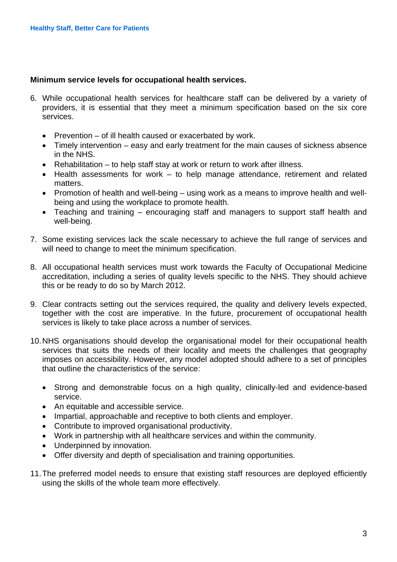#### **Minimum service levels for occupational health services.**

- 6. While occupational health services for healthcare staff can be delivered by a variety of providers, it is essential that they meet a minimum specification based on the six core services.
	- Prevention of ill health caused or exacerbated by work.
	- Timely intervention easy and early treatment for the main causes of sickness absence in the NHS.
	- Rehabilitation to help staff stay at work or return to work after illness.
	- Health assessments for work to help manage attendance, retirement and related matters.
	- Promotion of health and well-being using work as a means to improve health and wellbeing and using the workplace to promote health.
	- Teaching and training encouraging staff and managers to support staff health and well-being.
- 7. Some existing services lack the scale necessary to achieve the full range of services and will need to change to meet the minimum specification.
- 8. All occupational health services must work towards the Faculty of Occupational Medicine accreditation, including a series of quality levels specific to the NHS. They should achieve this or be ready to do so by March 2012.
- 9. Clear contracts setting out the services required, the quality and delivery levels expected, together with the cost are imperative. In the future, procurement of occupational health services is likely to take place across a number of services.
- 10. NHS organisations should develop the organisational model for their occupational health services that suits the needs of their locality and meets the challenges that geography imposes on accessibility. However, any model adopted should adhere to a set of principles that outline the characteristics of the service:
	- Strong and demonstrable focus on a high quality, clinically-led and evidence-based service.
	- An equitable and accessible service.
	- Impartial, approachable and receptive to both clients and employer.
	- Contribute to improved organisational productivity.
	- Work in partnership with all healthcare services and within the community.
	- Underpinned by innovation.
	- Offer diversity and depth of specialisation and training opportunities.
- 11. The preferred model needs to ensure that existing staff resources are deployed efficiently using the skills of the whole team more effectively.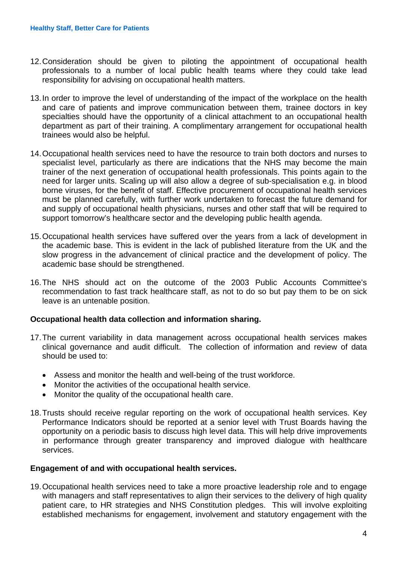- 12. Consideration should be given to piloting the appointment of occupational health professionals to a number of local public health teams where they could take lead responsibility for advising on occupational health matters.
- 13. In order to improve the level of understanding of the impact of the workplace on the health and care of patients and improve communication between them, trainee doctors in key specialties should have the opportunity of a clinical attachment to an occupational health department as part of their training. A complimentary arrangement for occupational health trainees would also be helpful.
- 14. Occupational health services need to have the resource to train both doctors and nurses to specialist level, particularly as there are indications that the NHS may become the main trainer of the next generation of occupational health professionals. This points again to the need for larger units. Scaling up will also allow a degree of sub-specialisation e.g. in blood borne viruses, for the benefit of staff. Effective procurement of occupational health services must be planned carefully, with further work undertaken to forecast the future demand for and supply of occupational health physicians, nurses and other staff that will be required to support tomorrow's healthcare sector and the developing public health agenda.
- 15. Occupational health services have suffered over the years from a lack of development in the academic base. This is evident in the lack of published literature from the UK and the slow progress in the advancement of clinical practice and the development of policy. The academic base should be strengthened.
- 16. The NHS should act on the outcome of the 2003 Public Accounts Committee's recommendation to fast track healthcare staff, as not to do so but pay them to be on sick leave is an untenable position.

#### **Occupational health data collection and information sharing.**

- 17. The current variability in data management across occupational health services makes clinical governance and audit difficult. The collection of information and review of data should be used to:
	- Assess and monitor the health and well-being of the trust workforce.
	- Monitor the activities of the occupational health service.
	- Monitor the quality of the occupational health care.
- 18. Trusts should receive regular reporting on the work of occupational health services. Key Performance Indicators should be reported at a senior level with Trust Boards having the opportunity on a periodic basis to discuss high level data. This will help drive improvements in performance through greater transparency and improved dialogue with healthcare services.

#### **Engagement of and with occupational health services.**

19. Occupational health services need to take a more proactive leadership role and to engage with managers and staff representatives to align their services to the delivery of high quality patient care, to HR strategies and NHS Constitution pledges. This will involve exploiting established mechanisms for engagement, involvement and statutory engagement with the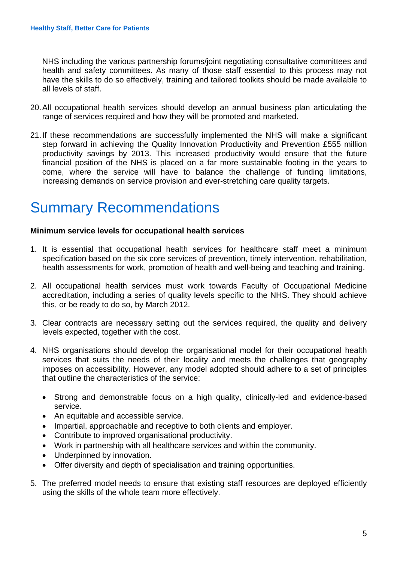NHS including the various partnership forums/joint negotiating consultative committees and health and safety committees. As many of those staff essential to this process may not have the skills to do so effectively, training and tailored toolkits should be made available to all levels of staff.

- 20. All occupational health services should develop an annual business plan articulating the range of services required and how they will be promoted and marketed.
- 21. If these recommendations are successfully implemented the NHS will make a significant step forward in achieving the Quality Innovation Productivity and Prevention £555 million productivity savings by 2013. This increased productivity would ensure that the future financial position of the NHS is placed on a far more sustainable footing in the years to come, where the service will have to balance the challenge of funding limitations, increasing demands on service provision and ever-stretching care quality targets.

## Summary Recommendations

#### **Minimum service levels for occupational health services**

- 1. It is essential that occupational health services for healthcare staff meet a minimum specification based on the six core services of prevention, timely intervention, rehabilitation, health assessments for work, promotion of health and well-being and teaching and training.
- 2. All occupational health services must work towards Faculty of Occupational Medicine accreditation, including a series of quality levels specific to the NHS. They should achieve this, or be ready to do so, by March 2012.
- 3. Clear contracts are necessary setting out the services required, the quality and delivery levels expected, together with the cost.
- 4. NHS organisations should develop the organisational model for their occupational health services that suits the needs of their locality and meets the challenges that geography imposes on accessibility. However, any model adopted should adhere to a set of principles that outline the characteristics of the service:
	- Strong and demonstrable focus on a high quality, clinically-led and evidence-based service.
	- An equitable and accessible service.
	- Impartial, approachable and receptive to both clients and employer.
	- Contribute to improved organisational productivity.
	- Work in partnership with all healthcare services and within the community.
	- Underpinned by innovation.
	- Offer diversity and depth of specialisation and training opportunities.
- 5. The preferred model needs to ensure that existing staff resources are deployed efficiently using the skills of the whole team more effectively.